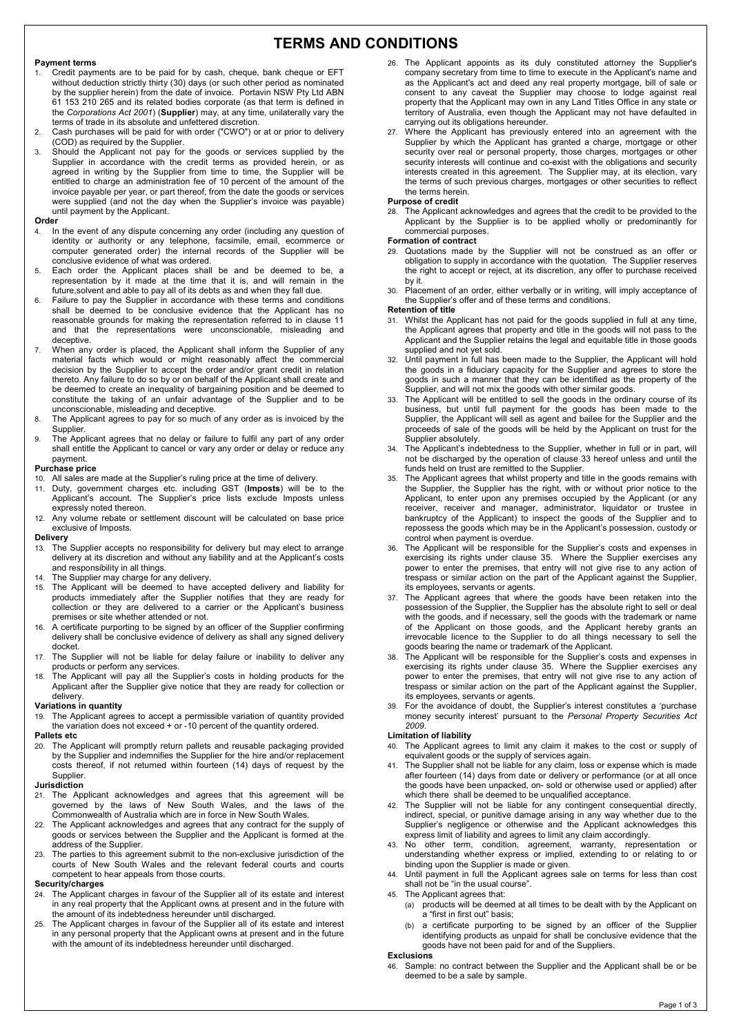# **TERMS AND CONDITIONS**

#### **Payment terms**

- 1. Credit payments are to be paid for by cash, cheque, bank cheque or EFT without deduction strictly thirty (30) days (or such other period as nominated by the supplier herein) from the date of invoice. Portavin NSW Pty Ltd ABN 61 153 210 265 and its related bodies corporate (as that term is defined in the *Corporations Act 2001*) (**Supplier**) may, at any time, unilaterally vary the terms of trade in its absolute and unfettered discretion.
- 2. Cash purchases will be paid for with order ("CWO") or at or prior to delivery (COD) as required by the Supplier.
- 3. Should the Applicant not pay for the goods or services supplied by the Supplier in accordance with the credit terms as provided herein, or as agreed in writing by the Supplier from time to time, the Supplier will be entitled to charge an administration fee of 10 percent of the amount of the invoice payable per year, or part thereof, from the date the goods or services were supplied (and not the day when the Supplier's invoice was payable) until payment by the Applicant.

#### **Order**

- 4. In the event of any dispute concerning any order (including any question of identity or authority or any telephone, facsimile, email, ecommerce or computer generated order) the internal records of the Supplier will be conclusive evidence of what was ordered.
- 5. Each order the Applicant places shall be and be deemed to be, a representation by it made at the time that it is, and will remain in the future,solvent and able to pay all of its debts as and when they fall due.
- 6. Failure to pay the Supplier in accordance with these terms and conditions shall be deemed to be conclusive evidence that the Applicant has no reasonable grounds for making the representation referred to in clause 11 and that the representations were unconscionable, misleading and deceptive.
- 7. When any order is placed, the Applicant shall inform the Supplier of any material facts which would or might reasonably affect the commercial decision by the Supplier to accept the order and/or grant credit in relation thereto. Any failure to do so by or on behalf of the Applicant shall create and be deemed to create an inequality of bargaining position and be deemed to constitute the taking of an unfair advantage of the Supplier and to be unconscionable, misleading and deceptive.
- 8. The Applicant agrees to pay for so much of any order as is invoiced by the Supplier
- 9. The Applicant agrees that no delay or failure to fulfil any part of any order shall entitle the Applicant to cancel or vary any order or delay or reduce any payment.

#### **Purchase price**

- 
- 10. All sales are made at the Supplier's ruling price at the time of delivery. 11. Duty, government charges etc. including GST (**Imposts**) will be to the Applicant's account. The Supplier's price lists exclude Imposts unless expressly noted thereon.
- 12. Any volume rebate or settlement discount will be calculated on base price exclusive of Imposts.

#### **Delivery**

- 13. The Supplier accepts no responsibility for delivery but may elect to arrange delivery at its discretion and without any liability and at the Applicant's costs and responsibility in all things.
- 14. The Supplier may charge for any delivery.
- 15. The Applicant will be deemed to have accepted delivery and liability for products immediately after the Supplier notifies that they are ready for collection or they are delivered to a carrier or the Applicant's business premises or site whether attended or not.
- 16. A certificate purporting to be signed by an officer of the Supplier confirming delivery shall be conclusive evidence of delivery as shall any signed delivery docket.
- 17. The Supplier will not be liable for delay failure or inability to deliver any products or perform any services.
- 18. The Applicant will pay all the Supplier's costs in holding products for the Applicant after the Supplier give notice that they are ready for collection or delivery.

#### **Variations in quantity**

19. The Applicant agrees to accept a permissible variation of quantity provided the variation does not exceed + or -10 percent of the quantity ordered.

# **Pallets etc** 20 The Art

The Applicant will promptly return pallets and reusable packaging provided by the Supplier and indemnifies the Supplier for the hire and/or replacement costs thereof, if not returned within fourteen (14) days of request by the Supplier.

#### **Jurisdiction**

- 21. The Applicant acknowledges and agrees that this agreement will be governed by the laws of New South Wales, and the laws of the Commonwealth of Australia which are in force in New South Wales.
- 22. The Applicant acknowledges and agrees that any contract for the supply of goods or services between the Supplier and the Applicant is formed at the address of the Supplier.
- 23. The parties to this agreement submit to the non-exclusive jurisdiction of the courts of New South Wales and the relevant federal courts and courts competent to hear appeals from those courts.

# **Security/charges**<br> **24** The Applicant

- The Applicant charges in favour of the Supplier all of its estate and interest in any real property that the Applicant owns at present and in the future with the amount of its indebtedness hereunder until discharged.
- 25. The Applicant charges in favour of the Supplier all of its estate and interest in any personal property that the Applicant owns at present and in the future with the amount of its indebtedness hereunder until discharged.
- 26. The Applicant appoints as its duly constituted attorney the Supplier's company secretary from time to time to execute in the Applicant's name and as the Applicant's act and deed any real property mortgage, bill of sale or consent to any caveat the Supplier may choose to lodge against real property that the Applicant may own in any Land Titles Office in any state or territory of Australia, even though the Applicant may not have defaulted in carrying out its obligations hereunder.
- 27. Where the Applicant has previously entered into an agreement with the Supplier by which the Applicant has granted a charge, mortgage or other security over real or personal property, those charges, mortgages or other security interests will continue and co-exist with the obligations and security interests created in this agreement. The Supplier may, at its election, vary the terms of such previous charges, mortgages or other securities to reflect the terms herein.

#### **Purpose of credit**

28. The Applicant acknowledges and agrees that the credit to be provided to the Applicant by the Supplier is to be applied wholly or predominantly for commercial purposes.

#### **Formation of contract**

- 29. Quotations made by the Supplier will not be construed as an offer or obligation to supply in accordance with the quotation. The Supplier reserves the right to accept or reject, at its discretion, any offer to purchase received by it.
- 30. Placement of an order, either verbally or in writing, will imply acceptance of the Supplier's offer and of these terms and conditions.

#### **Retention of title**

- Whilst the Applicant has not paid for the goods supplied in full at any time, the Applicant agrees that property and title in the goods will not pass to the Applicant and the Supplier retains the legal and equitable title in those goods supplied and not yet sold.
- 32. Until payment in full has been made to the Supplier, the Applicant will hold the goods in a fiduciary capacity for the Supplier and agrees to store the goods in such a manner that they can be identified as the property of the Supplier, and will not mix the goods with other similar goods.
- The Applicant will be entitled to sell the goods in the ordinary course of its business, but until full payment for the goods has been made to the Supplier, the Applicant will sell as agent and bailee for the Supplier and the proceeds of sale of the goods will be held by the Applicant on trust for the Supplier absolutely.
- The Applicant's indebtedness to the Supplier, whether in full or in part, will not be discharged by the operation of clause 33 hereof unless and until the funds held on trust are remitted to the Supplier.
- The Applicant agrees that whilst property and title in the goods remains with the Supplier, the Supplier has the right, with or without prior notice to the Applicant, to enter upon any premises occupied by the Applicant (or any receiver, receiver and manager, administrator, liquidator or trustee in bankruptcy of the Applicant) to inspect the goods of the Supplier and to repossess the goods which may be in the Applicant's possession, custody or control when payment is overdue.
- The Applicant will be responsible for the Supplier's costs and expenses in exercising its rights under clause 35. Where the Supplier exercises any power to enter the premises, that entry will not give rise to any action of trespass or similar action on the part of the Applicant against the Supplier, its employees, servants or agents.
- 37. The Applicant agrees that where the goods have been retaken into the possession of the Supplier, the Supplier has the absolute right to sell or deal with the goods, and if necessary, sell the goods with the trademark or name of the Applicant on those goods, and the Applicant hereby grants an irrevocable licence to the Supplier to do all things necessary to sell the goods bearing the name or trademark of the Applicant.
- The Applicant will be responsible for the Supplier's costs and expenses in exercising its rights under clause 35. Where the Supplier exercises any power to enter the premises, that entry will not give rise to any action of trespass or similar action on the part of the Applicant against the Supplier, its employees, servants or agents.
- 39. For the avoidance of doubt, the Supplier's interest constitutes a 'purchase money security interest' pursuant to the *Personal Property Securities Act 2009*.

### **Limitation of liability**

- The Applicant agrees to limit any claim it makes to the cost or supply of equivalent goods or the supply of services again.
- The Supplier shall not be liable for any claim, loss or expense which is made after fourteen (14) days from date or delivery or performance (or at all once the goods have been unpacked, on- sold or otherwise used or applied) after which there shall be deemed to be unqualified acceptance.
- 42. The Supplier will not be liable for any contingent consequential directly, indirect, special, or punitive damage arising in any way whether due to the Supplier's negligence or otherwise and the Applicant acknowledges this express limit of liability and agrees to limit any claim accordingly.
- 43. No other term, condition, agreement, warranty, representation or understanding whether express or implied, extending to or relating to or binding upon the Supplier is made or given.
- 44. Until payment in full the Applicant agrees sale on terms for less than cost shall not be "in the usual course".
- 45. The Applicant agrees that:
	- (a) products will be deemed at all times to be dealt with by the Applicant on a "first in first out" basis;
	- (b) a certificate purporting to be signed by an officer of the Supplier identifying products as unpaid for shall be conclusive evidence that the goods have not been paid for and of the Suppliers.

# **Exclusions**

Sample: no contract between the Supplier and the Applicant shall be or be deemed to be a sale by sample.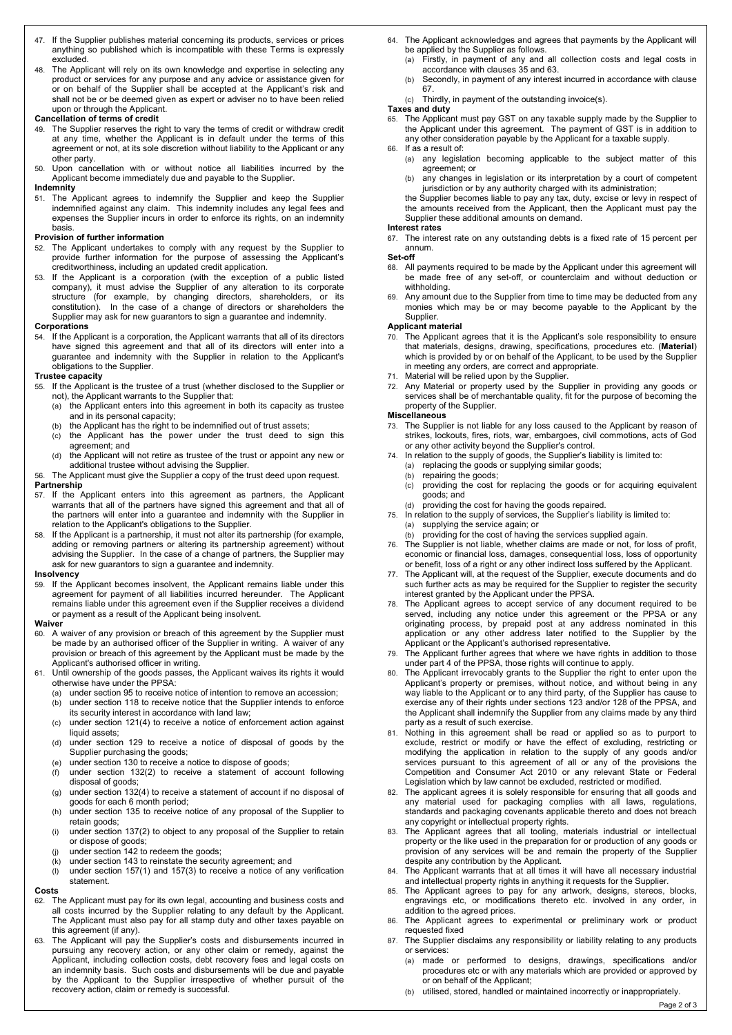- 47. If the Supplier publishes material concerning its products, services or prices anything so published which is incompatible with these Terms is expressly excluded.
- 48. The Applicant will rely on its own knowledge and expertise in selecting any product or services for any purpose and any advice or assistance given for or on behalf of the Supplier shall be accepted at the Applicant's risk and shall not be or be deemed given as expert or adviser no to have been relied

# upon or through the Applicant. **Cancellation of terms of credit**

- 49. The Supplier reserves the right to vary the terms of credit or withdraw credit at any time, whether the Applicant is in default under the terms of this agreement or not, at its sole discretion without liability to the Applicant or any other party.
- 50. Upon cancellation with or without notice all liabilities incurred by the Applicant become immediately due and payable to the Supplier.

# **Indemnity**

51. The Applicant agrees to indemnify the Supplier and keep the Supplier indemnified against any claim. This indemnity includes any legal fees and expenses the Supplier incurs in order to enforce its rights, on an indemnity basis.

# **Provision of further information**<br>52. The Applicant undertakes to

- The Applicant undertakes to comply with any request by the Supplier to provide further information for the purpose of assessing the Applicant's creditworthiness, including an updated credit application.
- 53. If the Applicant is a corporation (with the exception of a public listed company), it must advise the Supplier of any alteration to its corporate structure (for example, by changing directors, shareholders, or its constitution). In the case of a change of directors or shareholders the Supplier may ask for new guarantors to sign a guarantee and indemnity.

#### **Corporations**

54. If the Applicant is a corporation, the Applicant warrants that all of its directors have signed this agreement and that all of its directors will enter into a guarantee and indemnity with the Supplier in relation to the Applicant's obligations to the Supplier.

### **Trustee capacity**

- 55. If the Applicant is the trustee of a trust (whether disclosed to the Supplier or not), the Applicant warrants to the Supplier that:
	- (a) the Applicant enters into this agreement in both its capacity as trustee and in its personal capacity;
		- (b) the Applicant has the right to be indemnified out of trust assets;
	- (c) the Applicant has the power under the trust deed to sign this agreement; and
	- (d) the Applicant will not retire as trustee of the trust or appoint any new or additional trustee without advising the Supplier.
- 56. The Applicant must give the Supplier a copy of the trust deed upon request. **Partnership**

- 57. If the Applicant enters into this agreement as partners, the Applicant warrants that all of the partners have signed this agreement and that all of the partners will enter into a guarantee and indemnity with the Supplier in relation to the Applicant's obligations to the Supplier.
- 58. If the Applicant is a partnership, it must not alter its partnership (for example, adding or removing partners or altering its partnership agreement) without advising the Supplier. In the case of a change of partners, the Supplier may ask for new guarantors to sign a guarantee and indemnity.

#### **Insolvency**

59. If the Applicant becomes insolvent, the Applicant remains liable under this agreement for payment of all liabilities incurred hereunder. The Applicant remains liable under this agreement even if the Supplier receives a dividend or payment as a result of the Applicant being insolvent.

#### **Waiver**

- 60. A waiver of any provision or breach of this agreement by the Supplier must be made by an authorised officer of the Supplier in writing. A waiver of any provision or breach of this agreement by the Applicant must be made by the Applicant's authorised officer in writing.
- 61. Until ownership of the goods passes, the Applicant waives its rights it would otherwise have under the PPSA:
	- (a) under section 95 to receive notice of intention to remove an accession;<br>(b) under section 118 to receive notice that the Supplier intends to enforce
	- under section 118 to receive notice that the Supplier intends to enforce its security interest in accordance with land law;
	- (c) under section 121(4) to receive a notice of enforcement action against liquid assets:
	- (d) under section 129 to receive a notice of disposal of goods by the Supplier purchasing the goods;
	-
	- (e) under section 130 to receive a notice to dispose of goods;<br>(f) under section 132(2) to receive a statement of acco under section  $132(2)$  to receive a statement of account following disposal of goods;
	- (g) under section 132(4) to receive a statement of account if no disposal of goods for each 6 month period; (h) under section 135 to receive notice of any proposal of the Supplier to
	- retain goods;
	- (i) under section 137(2) to object to any proposal of the Supplier to retain or dispose of goods;
	- (j) under section 142 to redeem the goods;
	- (k) under section 143 to reinstate the security agreement; and
	- (I) under section 157(1) and 157(3) to receive a notice of any verification statement.

# **Costs**

- 62. The Applicant must pay for its own legal, accounting and business costs and all costs incurred by the Supplier relating to any default by the Applicant. The Applicant must also pay for all stamp duty and other taxes payable on this agreement (if any).
- 63. The Applicant will pay the Supplier's costs and disbursements incurred in pursuing any recovery action, or any other claim or remedy, against the Applicant, including collection costs, debt recovery fees and legal costs on an indemnity basis. Such costs and disbursements will be due and payable by the Applicant to the Supplier irrespective of whether pursuit of the recovery action, claim or remedy is successful.
- 64. The Applicant acknowledges and agrees that payments by the Applicant will be applied by the Supplier as follows.
	- (a) Firstly, in payment of any and all collection costs and legal costs in accordance with clauses 35 and 63.
	- (b) Secondly, in payment of any interest incurred in accordance with clause 67.
	- (c) Thirdly, in payment of the outstanding invoice(s).

# **Taxes and duty**

65. The Applicant must pay GST on any taxable supply made by the Supplier to the Applicant under this agreement. The payment of GST is in addition to any other consideration payable by the Applicant for a taxable supply.

- 66. If as a result of: (a) any legislation becoming applicable to the subject matter of this agreement; or
	- (b) any changes in legislation or its interpretation by a court of competent jurisdiction or by any authority charged with its administration;
	- the Supplier becomes liable to pay any tax, duty, excise or levy in respect of the amounts received from the Applicant, then the Applicant must pay the Supplier these additional amounts on demand.

#### **Interest rates**

67. The interest rate on any outstanding debts is a fixed rate of 15 percent per annum.

# **Set-off**

- 68. All payments required to be made by the Applicant under this agreement will be made free of any set-off, or counterclaim and without deduction or withholding.
- 69. Any amount due to the Supplier from time to time may be deducted from any monies which may be or may become payable to the Applicant by the Supplier.

#### **Applicant material**

- 70. The Applicant agrees that it is the Applicant's sole responsibility to ensure that materials, designs, drawing, specifications, procedures etc. (**Material**) which is provided by or on behalf of the Applicant, to be used by the Supplier in meeting any orders, are correct and appropriate.
- Material will be relied upon by the Supplier.
- Any Material or property used by the Supplier in providing any goods or services shall be of merchantable quality, fit for the purpose of becoming the property of the Supplier.

### **Miscellaneous**

- 73. The Supplier is not liable for any loss caused to the Applicant by reason of strikes, lockouts, fires, riots, war, embargoes, civil commotions, acts of God or any other activity beyond the Supplier's control.
- 74. In relation to the supply of goods, the Supplier's liability is limited to: (a) replacing the goods or supplying similar goods;
	- (b) repairing the goods;
	- (c) providing the cost for replacing the goods or for acquiring equivalent goods; and
	- (d) providing the cost for having the goods repaired.
- 75. In relation to the supply of services, the Supplier's liability is limited to: (a) supplying the service again; or
	- (b) providing for the cost of having the services supplied again.
- 76. The Supplier is not liable, whether claims are made or not, for loss of profit, economic or financial loss, damages, consequential loss, loss of opportunity or benefit, loss of a right or any other indirect loss suffered by the Applicant.
- 77. The Applicant will, at the request of the Supplier, execute documents and do such further acts as may be required for the Supplier to register the security interest granted by the Applicant under the PPSA.
- 78. The Applicant agrees to accept service of any document required to be served, including any notice under this agreement or the PPSA or any originating process, by prepaid post at any address nominated in this application or any other address later notified to the Supplier by the Applicant or the Applicant's authorised representative.
- 79. The Applicant further agrees that where we have rights in addition to those under part 4 of the PPSA, those rights will continue to apply.
- 80. The Applicant irrevocably grants to the Supplier the right to enter upon the Applicant's property or premises, without notice, and without being in any way liable to the Applicant or to any third party, of the Supplier has cause to exercise any of their rights under sections 123 and/or 128 of the PPSA, and the Applicant shall indemnify the Supplier from any claims made by any third party as a result of such exercise.
- 81. Nothing in this agreement shall be read or applied so as to purport to exclude, restrict or modify or have the effect of excluding, restricting or modifying the application in relation to the supply of any goods and/or services pursuant to this agreement of all or any of the provisions the Competition and Consumer Act 2010 or any relevant State or Federal Legislation which by law cannot be excluded, restricted or modified.
- 82. The applicant agrees it is solely responsible for ensuring that all goods and any material used for packaging complies with all laws, regulations, standards and packaging covenants applicable thereto and does not breach any copyright or intellectual property rights.
- 83. The Applicant agrees that all tooling, materials industrial or intellectual property or the like used in the preparation for or production of any goods or provision of any services will be and remain the property of the Supplier despite any contribution by the Applicant.
- 84. The Applicant warrants that at all times it will have all necessary industrial and intellectual property rights in anything it requests for the Supplier.
- 85. The Applicant agrees to pay for any artwork, designs, stereos, blocks, engravings etc, or modifications thereto etc. involved in any order, in addition to the agreed prices.
- The Applicant agrees to experimental or preliminary work or product requested fixed
- 87. The Supplier disclaims any responsibility or liability relating to any products or services:
	- (a) made or performed to designs, drawings, specifications and/or procedures etc or with any materials which are provided or approved by or on behalf of the Applicant;
	- (b) utilised, stored, handled or maintained incorrectly or inappropriately.